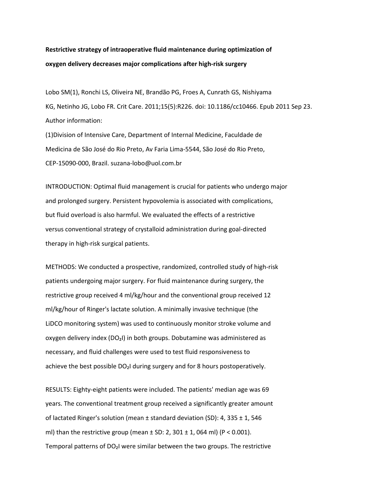## **Restrictive strategy of intraoperative fluid maintenance during optimization of oxygen delivery decreases major complications after high-risk surgery**

Lobo SM(1), Ronchi LS, Oliveira NE, Brandão PG, Froes A, Cunrath GS, Nishiyama KG, Netinho JG, Lobo FR. Crit Care. 2011;15(5):R226. doi: 10.1186/cc10466. Epub 2011 Sep 23. Author information:

(1)Division of Intensive Care, Department of Internal Medicine, Faculdade de Medicina de São José do Rio Preto, Av Faria Lima-5544, São José do Rio Preto, CEP-15090-000, Brazil. suzana-lobo@uol.com.br

INTRODUCTION: Optimal fluid management is crucial for patients who undergo major and prolonged surgery. Persistent hypovolemia is associated with complications, but fluid overload is also harmful. We evaluated the effects of a restrictive versus conventional strategy of crystalloid administration during goal-directed therapy in high-risk surgical patients.

METHODS: We conducted a prospective, randomized, controlled study of high-risk patients undergoing major surgery. For fluid maintenance during surgery, the restrictive group received 4 ml/kg/hour and the conventional group received 12 ml/kg/hour of Ringer's lactate solution. A minimally invasive technique (the LiDCO monitoring system) was used to continuously monitor stroke volume and oxygen delivery index (DO₂I) in both groups. Dobutamine was administered as necessary, and fluid challenges were used to test fluid responsiveness to achieve the best possible DO<sub>2</sub>I during surgery and for 8 hours postoperatively.

RESULTS: Eighty-eight patients were included. The patients' median age was 69 years. The conventional treatment group received a significantly greater amount of lactated Ringer's solution (mean  $\pm$  standard deviation (SD): 4, 335  $\pm$  1, 546 ml) than the restrictive group (mean  $\pm$  SD: 2, 301  $\pm$  1, 064 ml) (P < 0.001). Temporal patterns of DO₂I were similar between the two groups. The restrictive